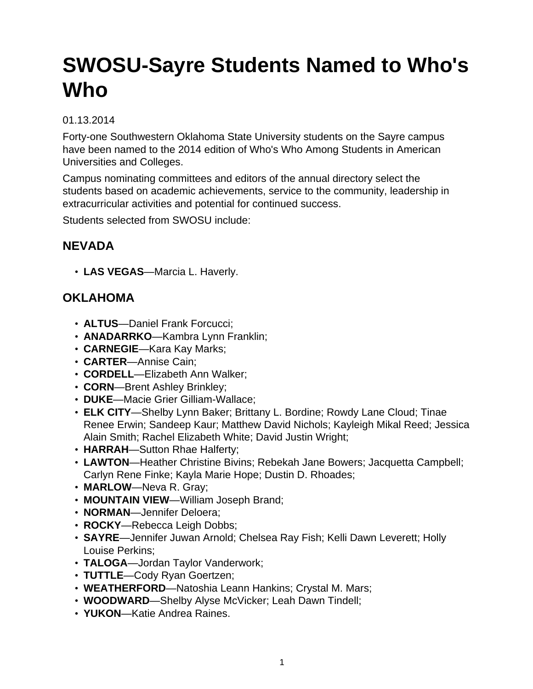# **SWOSU-Sayre Students Named to Who's Who**

#### 01.13.2014

Forty-one Southwestern Oklahoma State University students on the Sayre campus have been named to the 2014 edition of Who's Who Among Students in American Universities and Colleges.

Campus nominating committees and editors of the annual directory select the students based on academic achievements, service to the community, leadership in extracurricular activities and potential for continued success.

Students selected from SWOSU include:

### **NEVADA**

• **LAS VEGAS**—Marcia L. Haverly.

### **OKLAHOMA**

- **ALTUS**—Daniel Frank Forcucci;
- **ANADARRKO**—Kambra Lynn Franklin;
- **CARNEGIE**—Kara Kay Marks;
- **CARTER**—Annise Cain;
- **CORDELL**—Elizabeth Ann Walker;
- **CORN**—Brent Ashley Brinkley;
- **DUKE**—Macie Grier Gilliam-Wallace;
- **ELK CITY**—Shelby Lynn Baker; Brittany L. Bordine; Rowdy Lane Cloud; Tinae Renee Erwin; Sandeep Kaur; Matthew David Nichols; Kayleigh Mikal Reed; Jessica Alain Smith; Rachel Elizabeth White; David Justin Wright;
- **HARRAH**—Sutton Rhae Halferty;
- **LAWTON**—Heather Christine Bivins; Rebekah Jane Bowers; Jacquetta Campbell; Carlyn Rene Finke; Kayla Marie Hope; Dustin D. Rhoades;
- **MARLOW**—Neva R. Gray;
- **MOUNTAIN VIEW**—William Joseph Brand;
- **NORMAN**—Jennifer Deloera;
- **ROCKY**—Rebecca Leigh Dobbs;
- **SAYRE**—Jennifer Juwan Arnold; Chelsea Ray Fish; Kelli Dawn Leverett; Holly Louise Perkins;
- **TALOGA**—Jordan Taylor Vanderwork;
- **TUTTLE**—Cody Ryan Goertzen;
- **WEATHERFORD**—Natoshia Leann Hankins; Crystal M. Mars;
- **WOODWARD**—Shelby Alyse McVicker; Leah Dawn Tindell;
- **YUKON**—Katie Andrea Raines.